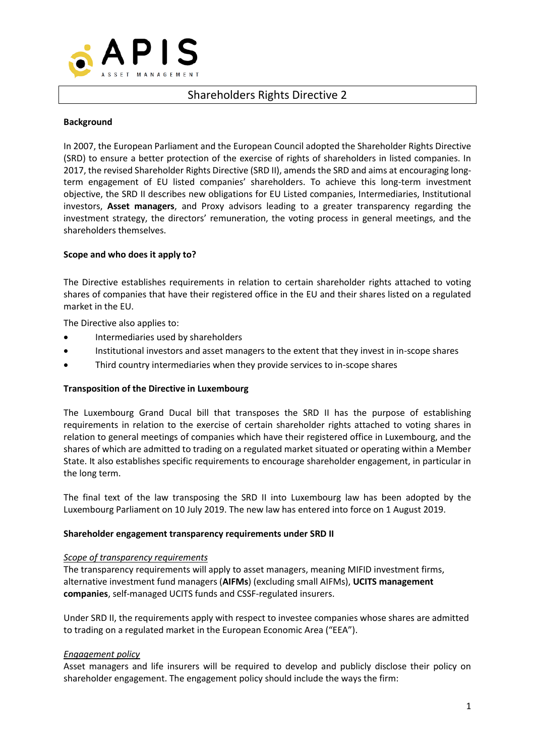

# Shareholders Rights Directive 2

### **Background**

In 2007, the European Parliament and the European Council adopted the Shareholder Rights Directive (SRD) to ensure a better protection of the exercise of rights of shareholders in listed companies. In 2017, the revised Shareholder Rights Directive (SRD II), amends the SRD and aims at encouraging longterm engagement of EU listed companies' shareholders. To achieve this long-term investment objective, the SRD II describes new obligations for EU Listed companies, Intermediaries, Institutional investors, **Asset managers**, and Proxy advisors leading to a greater transparency regarding the investment strategy, the directors' remuneration, the voting process in general meetings, and the shareholders themselves.

### **Scope and who does it apply to?**

The Directive establishes requirements in relation to certain shareholder rights attached to voting shares of companies that have their registered office in the EU and their shares listed on a regulated market in the EU.

The Directive also applies to:

- Intermediaries used by shareholders
- Institutional investors and asset managers to the extent that they invest in in-scope shares
- Third country intermediaries when they provide services to in-scope shares

### **Transposition of the Directive in Luxembourg**

The Luxembourg Grand Ducal bill that transposes the SRD II has the purpose of establishing requirements in relation to the exercise of certain shareholder rights attached to voting shares in relation to general meetings of companies which have their registered office in Luxembourg, and the shares of which are admitted to trading on a regulated market situated or operating within a Member State. It also establishes specific requirements to encourage shareholder engagement, in particular in the long term.

The final text of the law transposing the SRD II into Luxembourg law has been adopted by the Luxembourg Parliament on 10 July 2019. The new law has entered into force on 1 August 2019.

#### **Shareholder engagement transparency requirements under SRD II**

#### *Scope of transparency requirements*

The transparency requirements will apply to asset managers, meaning MIFID investment firms, alternative investment fund managers (**AIFMs**) (excluding small AIFMs), **UCITS management companies**, self-managed UCITS funds and CSSF-regulated insurers.

Under SRD II, the requirements apply with respect to investee companies whose shares are admitted to trading on a regulated market in the European Economic Area ("EEA").

### *Engagement policy*

Asset managers and life insurers will be required to develop and publicly disclose their policy on shareholder engagement. The engagement policy should include the ways the firm: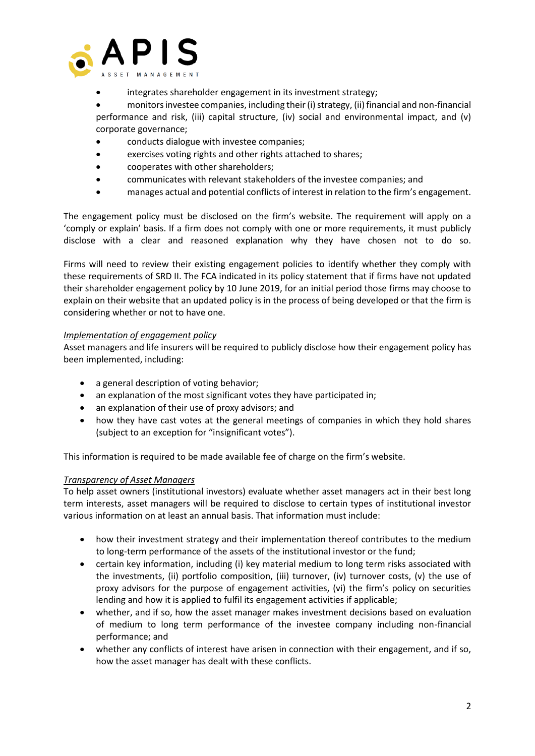

• integrates shareholder engagement in its investment strategy;

• monitors investee companies, including their (i) strategy, (ii) financial and non-financial performance and risk, (iii) capital structure, (iv) social and environmental impact, and (v) corporate governance;

- conducts dialogue with investee companies;
- exercises voting rights and other rights attached to shares;
- cooperates with other shareholders;
- communicates with relevant stakeholders of the investee companies; and
- manages actual and potential conflicts of interest in relation to the firm's engagement.

The engagement policy must be disclosed on the firm's website. The requirement will apply on a 'comply or explain' basis. If a firm does not comply with one or more requirements, it must publicly disclose with a clear and reasoned explanation why they have chosen not to do so.

Firms will need to review their existing engagement policies to identify whether they comply with these requirements of SRD II. The FCA indicated in its policy statement that if firms have not updated their shareholder engagement policy by 10 June 2019, for an initial period those firms may choose to explain on their website that an updated policy is in the process of being developed or that the firm is considering whether or not to have one.

### *Implementation of engagement policy*

Asset managers and life insurers will be required to publicly disclose how their engagement policy has been implemented, including:

- a general description of voting behavior;
- an explanation of the most significant votes they have participated in;
- an explanation of their use of proxy advisors; and
- how they have cast votes at the general meetings of companies in which they hold shares (subject to an exception for "insignificant votes").

This information is required to be made available fee of charge on the firm's website.

### *Transparency of Asset Managers*

To help asset owners (institutional investors) evaluate whether asset managers act in their best long term interests, asset managers will be required to disclose to certain types of institutional investor various information on at least an annual basis. That information must include:

- how their investment strategy and their implementation thereof contributes to the medium to long-term performance of the assets of the institutional investor or the fund;
- certain key information, including (i) key material medium to long term risks associated with the investments, (ii) portfolio composition, (iii) turnover, (iv) turnover costs, (v) the use of proxy advisors for the purpose of engagement activities, (vi) the firm's policy on securities lending and how it is applied to fulfil its engagement activities if applicable;
- whether, and if so, how the asset manager makes investment decisions based on evaluation of medium to long term performance of the investee company including non-financial performance; and
- whether any conflicts of interest have arisen in connection with their engagement, and if so, how the asset manager has dealt with these conflicts.